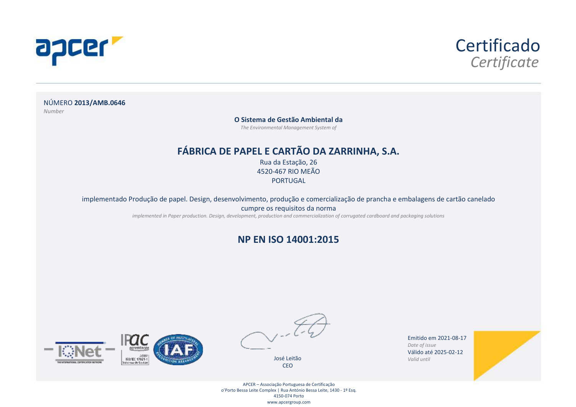



NÚMERO **2013/AMB.0646** *Number*

**O Sistema de Gestão Ambiental da**

*The Environmental Management System of*

#### **FÁBRICA DE PAPEL E CARTÃO DA ZARRINHA, S.A.**

Rua da Estação, 26 4520-467 RIO MEÃO **PORTUGAL** 

implementado Produção de papel. Design, desenvolvimento, produção e comercialização de prancha e embalagens de cartão canelado

cumpre os requisitos da norma

*implemented in Paper production. Design, development, production and commercialization of corrugated cardboard and packaging solutions*

#### **NP EN ISO 14001:2015**





José Leitão CEO

Emitido em 2021-08-17 *Date of issue* Válido até 2025-02-12 *Valid until*



APCER – Associação Portuguesa de Certificação o'Porto Bessa Leite Complex | Rua António Bessa Leite, 1430 - 1º Esq. 4150-074 Porto www.apcergroup.com